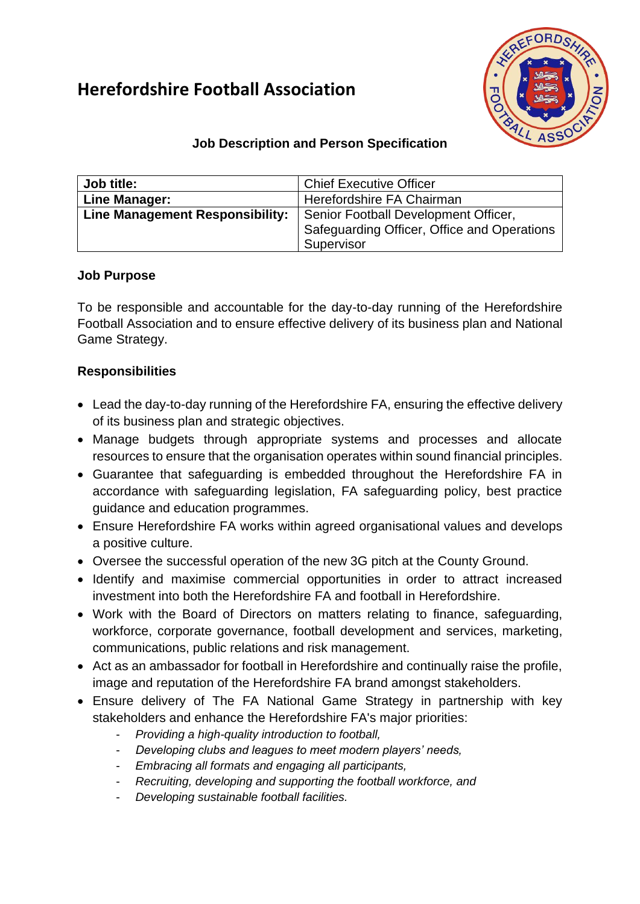# **Herefordshire Football Association**



## **Job Description and Person Specification**

| Job title:                      | <b>Chief Executive Officer</b>              |  |
|---------------------------------|---------------------------------------------|--|
| Line Manager:                   | Herefordshire FA Chairman                   |  |
| Line Management Responsibility: | Senior Football Development Officer,        |  |
|                                 | Safeguarding Officer, Office and Operations |  |
|                                 | Supervisor                                  |  |

#### **Job Purpose**

To be responsible and accountable for the day-to-day running of the Herefordshire Football Association and to ensure effective delivery of its business plan and National Game Strategy.

### **Responsibilities**

- Lead the day-to-day running of the Herefordshire FA, ensuring the effective delivery of its business plan and strategic objectives.
- Manage budgets through appropriate systems and processes and allocate resources to ensure that the organisation operates within sound financial principles.
- Guarantee that safeguarding is embedded throughout the Herefordshire FA in accordance with safeguarding legislation, FA safeguarding policy, best practice guidance and education programmes.
- Ensure Herefordshire FA works within agreed organisational values and develops a positive culture.
- Oversee the successful operation of the new 3G pitch at the County Ground.
- Identify and maximise commercial opportunities in order to attract increased investment into both the Herefordshire FA and football in Herefordshire.
- Work with the Board of Directors on matters relating to finance, safeguarding, workforce, corporate governance, football development and services, marketing, communications, public relations and risk management.
- Act as an ambassador for football in Herefordshire and continually raise the profile, image and reputation of the Herefordshire FA brand amongst stakeholders.
- Ensure delivery of The FA National Game Strategy in partnership with key stakeholders and enhance the Herefordshire FA's major priorities:
	- *Providing a high-quality introduction to football,*
	- *Developing clubs and leagues to meet modern players' needs,*
	- *Embracing all formats and engaging all participants,*
	- *Recruiting, developing and supporting the football workforce, and*
	- *Developing sustainable football facilities.*